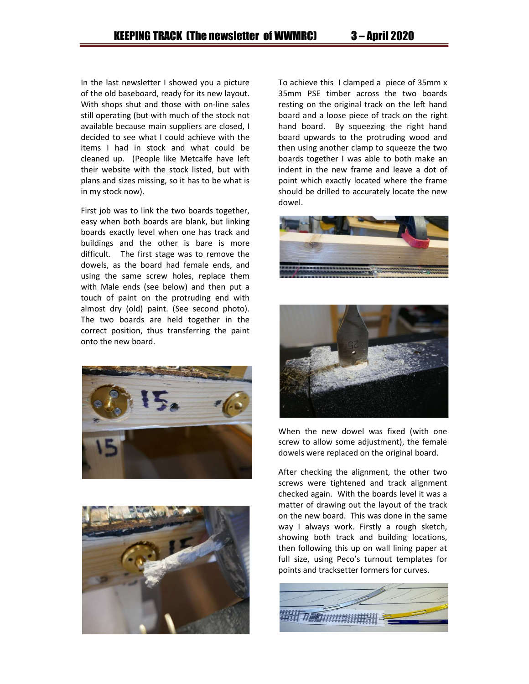In the last newsletter I showed you a picture of the old baseboard, ready for its new layout. With shops shut and those with on-line sales still operating (but with much of the stock not available because main suppliers are closed, I decided to see what I could achieve with the items I had in stock and what could be cleaned up. (People like Metcalfe have left their website with the stock listed, but with plans and sizes missing, so it has to be what is in my stock now).

First job was to link the two boards together, easy when both boards are blank, but linking boards exactly level when one has track and buildings and the other is bare is more difficult. The first stage was to remove the dowels, as the board had female ends, and using the same screw holes, replace them with Male ends (see below) and then put a touch of paint on the protruding end with almost dry (old) paint. (See second photo). The two boards are held together in the correct position, thus transferring the paint onto the new board.





To achieve this I clamped a piece of 35mm x 35mm PSE timber across the two boards resting on the original track on the left hand board and a loose piece of track on the right hand board. By squeezing the right hand board upwards to the protruding wood and then using another clamp to squeeze the two boards together I was able to both make an indent in the new frame and leave a dot of point which exactly located where the frame should be drilled to accurately locate the new dowel.





When the new dowel was fixed (with one screw to allow some adjustment), the female dowels were replaced on the original board.

After checking the alignment, the other two screws were tightened and track alignment checked again. With the boards level it was a matter of drawing out the layout of the track on the new board. This was done in the same way I always work. Firstly a rough sketch, showing both track and building locations, then following this up on wall lining paper at full size, using Peco's turnout templates for points and tracksetter formers for curves.